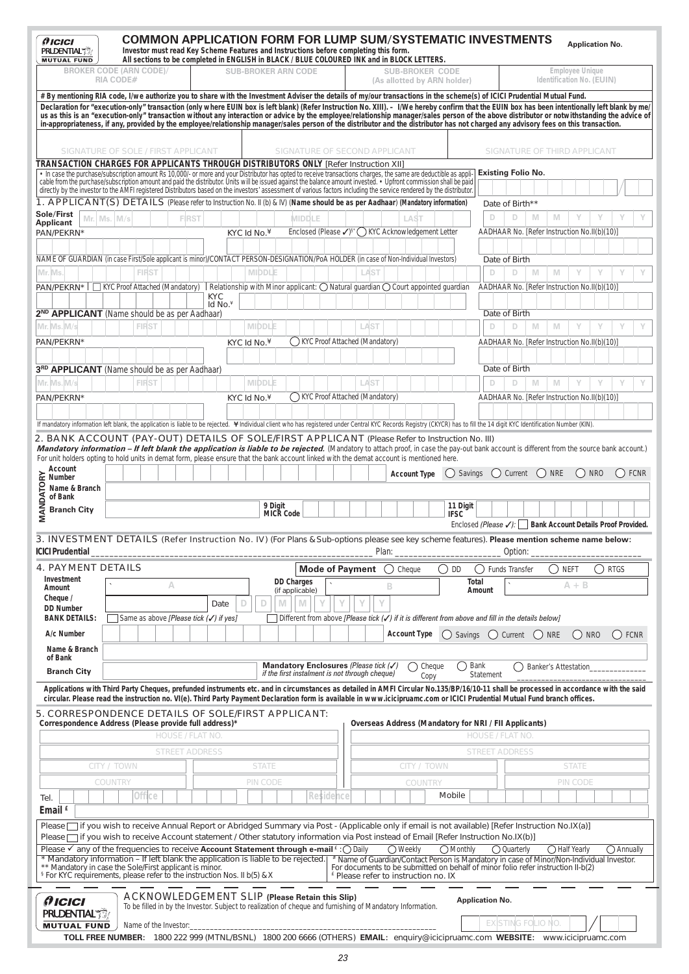| <i><b>AICICI</b></i><br><b>PRUDENTIAL TO</b><br><b>MUTUAL FUND</b>                                                                                                                                                                                                                                     | <b>COMMON APPLICATION FORM FOR LUMP SUM/SYSTEMATIC INVESTMENTS</b><br>Investor must read Key Scheme Features and Instructions before completing this form.<br>All sections to be completed in ENGLISH in BLACK / BLUE COLOURED INK and in BLOCK LETTERS.                                                                                                                                                                                                                                                                                                                                                                                                                                                                                                        |                         |                             |                                                                                         |                        |                                                 |                        |                                                                                                                                                                              |                        |                           |                                                             | <b>Application No.</b> |                     |
|--------------------------------------------------------------------------------------------------------------------------------------------------------------------------------------------------------------------------------------------------------------------------------------------------------|-----------------------------------------------------------------------------------------------------------------------------------------------------------------------------------------------------------------------------------------------------------------------------------------------------------------------------------------------------------------------------------------------------------------------------------------------------------------------------------------------------------------------------------------------------------------------------------------------------------------------------------------------------------------------------------------------------------------------------------------------------------------|-------------------------|-----------------------------|-----------------------------------------------------------------------------------------|------------------------|-------------------------------------------------|------------------------|------------------------------------------------------------------------------------------------------------------------------------------------------------------------------|------------------------|---------------------------|-------------------------------------------------------------|------------------------|---------------------|
|                                                                                                                                                                                                                                                                                                        | <b>BROKER CODE (ARN CODE)/</b><br><b>RIA CODE#</b>                                                                                                                                                                                                                                                                                                                                                                                                                                                                                                                                                                                                                                                                                                              |                         | <b>SUB-BROKER ARN CODE</b>  |                                                                                         |                        |                                                 | <b>SUB-BROKER CODE</b> | (As allotted by ARN holder)                                                                                                                                                  |                        |                           | <b>Employee Unique</b><br>Identification No. (EUIN)         |                        |                     |
|                                                                                                                                                                                                                                                                                                        | #By mentioning RIA code, I/we authorize you to share with the Investment Adviser the details of my/our transactions in the scheme(s) of ICICI Prudential Mutual Fund.<br>Declaration for "execution-only" transaction (only where EUIN box is left blank) (Refer Instruction No. XIII). - I/We hereby confirm that the EUIN box has been intentionally left blank by me/<br>us as this is an "execution-only" transaction without any interaction or advice by the employee/relationship manager/sales person of the above distributor or notwithstanding the advice of<br>in-appropriateness, if any, provided by the employee/relationship manager/sales person of the distributor and the distributor has not charged any advisory fees on this transaction. |                         |                             |                                                                                         |                        |                                                 |                        |                                                                                                                                                                              |                        |                           |                                                             |                        |                     |
|                                                                                                                                                                                                                                                                                                        | SIGNATURE OF SOLE / FIRST APPLICANT                                                                                                                                                                                                                                                                                                                                                                                                                                                                                                                                                                                                                                                                                                                             |                         |                             | SIGNATURE OF SECOND APPLICANT                                                           |                        |                                                 |                        |                                                                                                                                                                              |                        |                           | SIGNATURE OF THIRD APPLICANT                                |                        |                     |
|                                                                                                                                                                                                                                                                                                        | TRANSACTION CHARGES FOR APPLICANTS THROUGH DISTRIBUTORS ONLY [Refer Instruction XII]<br>. In case the purchase/subscription amount Rs 10,000/- or more and your Distributor has opted to receive transactions charges, the same are deductible as appli-                                                                                                                                                                                                                                                                                                                                                                                                                                                                                                        |                         |                             |                                                                                         |                        |                                                 |                        |                                                                                                                                                                              |                        | <b>Existing Folio No.</b> |                                                             |                        |                     |
|                                                                                                                                                                                                                                                                                                        | cable from the purchase/subscription amount and paid the distributor. Units will be issued against the balance amount invested. • Upfront commission shall be paid<br>directly by the investor to the AMFI registered Distributors based on the investors' assessment of various factors including the service rendered by the distributor                                                                                                                                                                                                                                                                                                                                                                                                                      |                         |                             |                                                                                         |                        |                                                 |                        |                                                                                                                                                                              |                        |                           |                                                             |                        |                     |
|                                                                                                                                                                                                                                                                                                        | 1. APPLICANT(S) DETAILS (Please refer to Instruction No. II (b) & IV) (Name should be as per Aadhaar) (Mandatory information)                                                                                                                                                                                                                                                                                                                                                                                                                                                                                                                                                                                                                                   |                         |                             |                                                                                         |                        |                                                 |                        |                                                                                                                                                                              |                        | Date of Birth**           |                                                             |                        |                     |
| Sole/First<br>Mr. Ms. M/s<br>Applicant                                                                                                                                                                                                                                                                 |                                                                                                                                                                                                                                                                                                                                                                                                                                                                                                                                                                                                                                                                                                                                                                 | <b>FIRST</b>            |                             | MIDDLE                                                                                  |                        |                                                 | LAST                   |                                                                                                                                                                              | D                      | D<br>M                    | M<br>Y                                                      |                        |                     |
| PAN/PEKRN*                                                                                                                                                                                                                                                                                             |                                                                                                                                                                                                                                                                                                                                                                                                                                                                                                                                                                                                                                                                                                                                                                 |                         | KYC Id No. $4$              | Enclosed (Please $\sqrt{s}$ <sup>s</sup> ' () KYC Acknowledgement Letter                |                        |                                                 |                        |                                                                                                                                                                              |                        |                           | AADHAAR No. [Refer Instruction No.II(b)(10)]                |                        |                     |
|                                                                                                                                                                                                                                                                                                        | NAME OF GUARDIAN (in case First/Sole applicant is minor)/CONTACT PERSON-DESIGNATION/PoA HOLDER (in case of Non-Individual Investors)                                                                                                                                                                                                                                                                                                                                                                                                                                                                                                                                                                                                                            |                         |                             |                                                                                         |                        |                                                 |                        |                                                                                                                                                                              | Date of Birth          |                           |                                                             |                        |                     |
| Mr. Ms                                                                                                                                                                                                                                                                                                 | <b>FIRST</b><br>$PAN/PEKRN^{\star}$   KYC Proof Attached (Mandatory)   Relationship with Minor applicant: $\bigcirc$ Natural quardian $\bigcirc$ Court appointed quardian                                                                                                                                                                                                                                                                                                                                                                                                                                                                                                                                                                                       |                         | <b>MIDDLE</b>               |                                                                                         |                        | LAST                                            |                        |                                                                                                                                                                              | D                      | D<br>M                    | M<br>Y                                                      |                        |                     |
|                                                                                                                                                                                                                                                                                                        |                                                                                                                                                                                                                                                                                                                                                                                                                                                                                                                                                                                                                                                                                                                                                                 | <b>KYC</b>              |                             |                                                                                         |                        |                                                 |                        |                                                                                                                                                                              |                        |                           | AADHAAR No. [Refer Instruction No.II(b)(10)]                |                        |                     |
|                                                                                                                                                                                                                                                                                                        | 2 <sup>ND</sup> APPLICANT (Name should be as per Aadhaar)                                                                                                                                                                                                                                                                                                                                                                                                                                                                                                                                                                                                                                                                                                       | Id No. $*$              |                             |                                                                                         |                        |                                                 |                        |                                                                                                                                                                              | Date of Birth          |                           |                                                             |                        |                     |
| Mr. Ms. M/s                                                                                                                                                                                                                                                                                            | <b>FIRST</b>                                                                                                                                                                                                                                                                                                                                                                                                                                                                                                                                                                                                                                                                                                                                                    |                         | <b>MIDDLE</b>               |                                                                                         |                        | LAST                                            |                        |                                                                                                                                                                              | D                      | D<br>M                    | M<br>Y                                                      |                        |                     |
| PAN/PEKRN*                                                                                                                                                                                                                                                                                             |                                                                                                                                                                                                                                                                                                                                                                                                                                                                                                                                                                                                                                                                                                                                                                 |                         | KYC Id No. $4$              | (KYC Proof Attached (Mandatory)                                                         |                        |                                                 |                        |                                                                                                                                                                              |                        |                           | AADHAAR No. [Refer Instruction No.II(b)(10)]                |                        |                     |
|                                                                                                                                                                                                                                                                                                        |                                                                                                                                                                                                                                                                                                                                                                                                                                                                                                                                                                                                                                                                                                                                                                 |                         |                             |                                                                                         |                        |                                                 |                        |                                                                                                                                                                              |                        |                           |                                                             |                        |                     |
| Mr. Ms. M/s                                                                                                                                                                                                                                                                                            | 3RD APPLICANT (Name should be as per Aadhaar)<br><b>FIRST</b>                                                                                                                                                                                                                                                                                                                                                                                                                                                                                                                                                                                                                                                                                                   |                         | <b>MIDDLE</b>               |                                                                                         |                        | LAST                                            |                        |                                                                                                                                                                              | Date of Birth<br>D     | D<br>M                    | M<br>Y                                                      | Y                      |                     |
| PAN/PEKRN*                                                                                                                                                                                                                                                                                             |                                                                                                                                                                                                                                                                                                                                                                                                                                                                                                                                                                                                                                                                                                                                                                 |                         | KYC Id No.¥                 | () KYC Proof Attached (Mandatory)                                                       |                        |                                                 |                        |                                                                                                                                                                              |                        |                           | AADHAAR No. [Refer Instruction No.II(b)(10)]                |                        |                     |
|                                                                                                                                                                                                                                                                                                        |                                                                                                                                                                                                                                                                                                                                                                                                                                                                                                                                                                                                                                                                                                                                                                 |                         |                             |                                                                                         |                        |                                                 |                        |                                                                                                                                                                              |                        |                           |                                                             |                        |                     |
|                                                                                                                                                                                                                                                                                                        | If mandatory information left blank, the application is liable to be rejected. *Individual client who has registered under Central KYC Records Registry (CKYCR) has to fill the 14 digit KYC Identification Number (KIN).                                                                                                                                                                                                                                                                                                                                                                                                                                                                                                                                       |                         |                             |                                                                                         |                        |                                                 |                        |                                                                                                                                                                              |                        |                           |                                                             |                        |                     |
| Account<br>OL<br>Mame &<br>of Bank<br>Extract<br>Stranch<br>Extract<br>Manus<br>Stranch<br>Stranch<br>Stranch<br>Stranch<br>Stranch<br>Stranch<br>Stranch<br>Stranch<br>Stranch<br>Stranch<br>Stranch<br>Stranch<br>Stranch<br>Stranch<br>Stranch<br>Stranch<br>Stranch<br>Stran<br><b>Branch City</b> |                                                                                                                                                                                                                                                                                                                                                                                                                                                                                                                                                                                                                                                                                                                                                                 |                         | 9 Digit<br><b>MICR Code</b> |                                                                                         |                        |                                                 |                        | 11 Digit<br><b>IFSC</b>                                                                                                                                                      |                        |                           | Enclosed (Please √):   Bank Account Details Proof Provided. |                        |                     |
| <b>ICICI Prudential</b>                                                                                                                                                                                                                                                                                | 3. INVESTMENT DETAILS (Refer Instruction No. IV) (For Plans & Sub-options please see key scheme features). Please mention scheme name below:                                                                                                                                                                                                                                                                                                                                                                                                                                                                                                                                                                                                                    |                         |                             |                                                                                         |                        | Plan:                                           |                        |                                                                                                                                                                              |                        | _ Option:                 |                                                             |                        |                     |
| <b>4. PAYMENT DETAILS</b>                                                                                                                                                                                                                                                                              |                                                                                                                                                                                                                                                                                                                                                                                                                                                                                                                                                                                                                                                                                                                                                                 |                         |                             |                                                                                         | <b>Mode of Payment</b> |                                                 | ◯ Cheque               | DD<br>( )                                                                                                                                                                    |                        | Funds Transfer            | ( ) neft                                                    |                        | <b>RTGS</b>         |
| Investment<br>Amount                                                                                                                                                                                                                                                                                   | A                                                                                                                                                                                                                                                                                                                                                                                                                                                                                                                                                                                                                                                                                                                                                               |                         |                             | <b>DD Charges</b><br>(if applicable)                                                    |                        | В                                               |                        | <b>Total</b>                                                                                                                                                                 | <b>Amount</b>          |                           | $A + B$                                                     |                        |                     |
| Cheque /<br><b>DD Number</b>                                                                                                                                                                                                                                                                           |                                                                                                                                                                                                                                                                                                                                                                                                                                                                                                                                                                                                                                                                                                                                                                 | Date                    | D<br>M<br>D                 | M                                                                                       |                        |                                                 |                        |                                                                                                                                                                              |                        |                           |                                                             |                        |                     |
| <b>BANK DETAILS:</b><br>A/c Number                                                                                                                                                                                                                                                                     | Same as above [Please tick (√) if yes]                                                                                                                                                                                                                                                                                                                                                                                                                                                                                                                                                                                                                                                                                                                          |                         |                             |                                                                                         |                        |                                                 | <b>Account Type</b>    | Different from above [Please tick $(\checkmark)$ if it is different from above and fill in the details below]<br>() Savings                                                  |                        | () Current () NRE         |                                                             | $()$ NRO               | () FCNR             |
| Name & Branch<br>of Bank                                                                                                                                                                                                                                                                               |                                                                                                                                                                                                                                                                                                                                                                                                                                                                                                                                                                                                                                                                                                                                                                 |                         |                             |                                                                                         |                        |                                                 |                        |                                                                                                                                                                              |                        |                           |                                                             |                        |                     |
| <b>Branch City</b>                                                                                                                                                                                                                                                                                     |                                                                                                                                                                                                                                                                                                                                                                                                                                                                                                                                                                                                                                                                                                                                                                 |                         |                             | Mandatory Enclosures (Please tick (V)<br>if the first instalment is not through cheque) |                        |                                                 |                        | ()<br>Cheque<br>Copy                                                                                                                                                         | Bank<br>Statement      |                           | <b>Banker's Attestation</b>                                 |                        |                     |
|                                                                                                                                                                                                                                                                                                        | Applications with Third Party Cheques, prefunded instruments etc. and in circumstances as detailed in AMFI Circular No.135/BP/16/10-11 shall be processed in accordance with the said<br>circular. Please read the instruction no. VI(e). Third Party Payment Declaration form is available in www.icicipruamc.com or ICICI Prudential Mutual Fund branch offices.                                                                                                                                                                                                                                                                                                                                                                                              |                         |                             |                                                                                         |                        |                                                 |                        |                                                                                                                                                                              |                        |                           |                                                             |                        |                     |
|                                                                                                                                                                                                                                                                                                        | 5. CORRESPONDENCE DETAILS OF SOLE/FIRST APPLICANT:<br>Correspondence Address (Please provide full address)*                                                                                                                                                                                                                                                                                                                                                                                                                                                                                                                                                                                                                                                     |                         |                             |                                                                                         |                        |                                                 |                        | <b>Overseas Address (Mandatory for NRI / FII Applicants)</b>                                                                                                                 |                        |                           |                                                             |                        |                     |
|                                                                                                                                                                                                                                                                                                        |                                                                                                                                                                                                                                                                                                                                                                                                                                                                                                                                                                                                                                                                                                                                                                 | <b>HOUSE / FLAT NO.</b> |                             |                                                                                         |                        |                                                 |                        |                                                                                                                                                                              | <b>HOUSE / FLAT NO</b> |                           |                                                             |                        |                     |
|                                                                                                                                                                                                                                                                                                        |                                                                                                                                                                                                                                                                                                                                                                                                                                                                                                                                                                                                                                                                                                                                                                 | <b>STREET ADDRESS</b>   |                             |                                                                                         |                        |                                                 |                        |                                                                                                                                                                              | <b>STREET ADDRESS</b>  |                           |                                                             |                        |                     |
|                                                                                                                                                                                                                                                                                                        | CITY / TOWN                                                                                                                                                                                                                                                                                                                                                                                                                                                                                                                                                                                                                                                                                                                                                     |                         | <b>STATE</b>                |                                                                                         |                        |                                                 | CITY / TOWN            |                                                                                                                                                                              |                        |                           | <b>STATE</b>                                                |                        |                     |
|                                                                                                                                                                                                                                                                                                        | COUNTRY                                                                                                                                                                                                                                                                                                                                                                                                                                                                                                                                                                                                                                                                                                                                                         |                         | PIN CODE                    |                                                                                         |                        |                                                 | COUNTRY                |                                                                                                                                                                              |                        |                           | PIN CODE                                                    |                        |                     |
| Tel.<br>Email f                                                                                                                                                                                                                                                                                        | Office                                                                                                                                                                                                                                                                                                                                                                                                                                                                                                                                                                                                                                                                                                                                                          |                         |                             |                                                                                         | Residence              |                                                 |                        | Mobile                                                                                                                                                                       |                        |                           |                                                             |                        |                     |
|                                                                                                                                                                                                                                                                                                        | Please if you wish to receive Annual Report or Abridged Summary via Post - (Applicable only if email is not available) [Refer Instruction No.IX(a)]                                                                                                                                                                                                                                                                                                                                                                                                                                                                                                                                                                                                             |                         |                             |                                                                                         |                        |                                                 |                        |                                                                                                                                                                              |                        |                           |                                                             |                        |                     |
|                                                                                                                                                                                                                                                                                                        | Please if you wish to receive Account statement / Other statutory information via Post instead of Email [Refer Instruction No.IX(b)]<br>Please $\checkmark$ any of the frequencies to receive <b>Account Statement through e-mail</b> $\hat{C}$ Daily                                                                                                                                                                                                                                                                                                                                                                                                                                                                                                           |                         |                             |                                                                                         |                        |                                                 | $\bigcirc$ Weekly      | $\bigcirc$ Monthly                                                                                                                                                           |                        | $\bigcirc$ Quarterly      | ◯ Half Yearly                                               |                        | $\bigcirc$ Annually |
|                                                                                                                                                                                                                                                                                                        | Mandatory information - If left blank the application is liable to be rejected.<br>** Mandatory in case the Sole/First applicant is minor.                                                                                                                                                                                                                                                                                                                                                                                                                                                                                                                                                                                                                      |                         |                             |                                                                                         |                        | <sup>£</sup> Please refer to instruction no. IX |                        | * Name of Guardian/Contact Person is Mandatory in case of Minor/Non-Individual Investor.<br>For documents to be submitted on behalf of minor folio refer instruction II-b(2) |                        |                           |                                                             |                        |                     |
|                                                                                                                                                                                                                                                                                                        | <sup>§</sup> For KYC requirements, please refer to the instruction Nos. II b(5) & X                                                                                                                                                                                                                                                                                                                                                                                                                                                                                                                                                                                                                                                                             |                         |                             |                                                                                         |                        |                                                 |                        |                                                                                                                                                                              |                        |                           |                                                             |                        |                     |
| $f$ <i>ICICI</i><br><b>PRUDENTIAL</b>                                                                                                                                                                                                                                                                  | <b>ACKNOWLEDGEMENT SLIP (Please Retain this Slip)</b><br>To be filled in by the Investor. Subject to realization of cheque and furnishing of Mandatory Information.                                                                                                                                                                                                                                                                                                                                                                                                                                                                                                                                                                                             |                         |                             |                                                                                         |                        |                                                 |                        |                                                                                                                                                                              | <b>Application No.</b> | <b>EXISTING FOLIO NO.</b> |                                                             |                        |                     |
| <b>MUTUAL FUND</b>                                                                                                                                                                                                                                                                                     | Name of the Investor:<br>TOLL FREE NUMBER: 1800 222 999 (MTNL/BSNL) 1800 200 6666 (OTHERS) EMAIL: enquiry@icicipruamc.com WEBSITE: www.icicipruamc.com                                                                                                                                                                                                                                                                                                                                                                                                                                                                                                                                                                                                          |                         |                             |                                                                                         |                        |                                                 |                        |                                                                                                                                                                              |                        |                           |                                                             |                        |                     |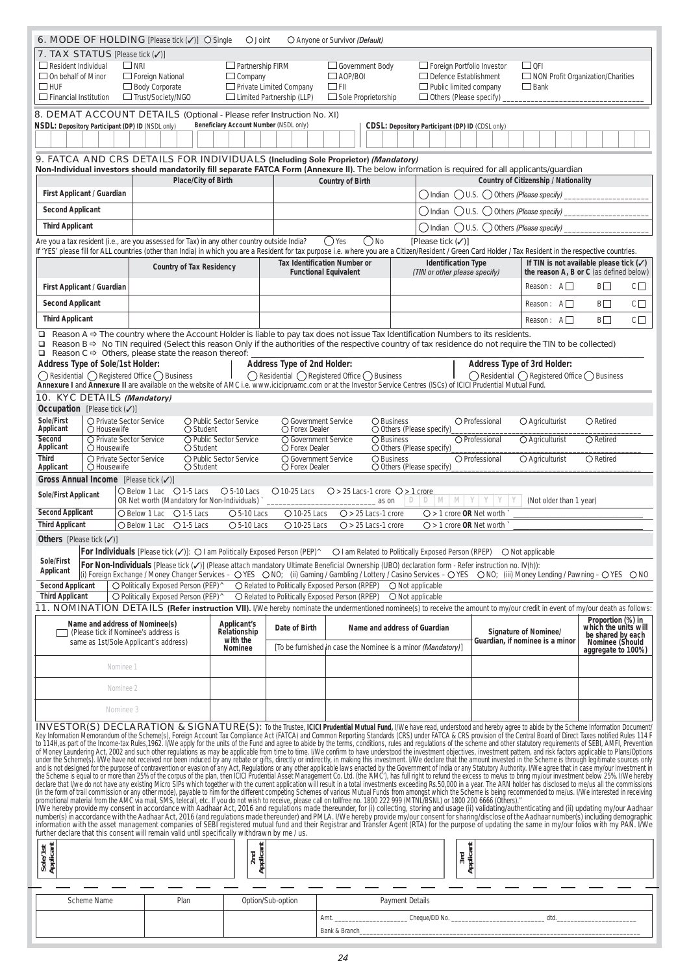|                                             |                                                                                                                                                                                                                               | <b>6. MODE OF HOLDING</b> [Please tick $(\checkmark)$ ] $\circ$ Single                                                                                                                                                        | $\bigcirc$ Joint                       |                                                               | O Anyone or Survivor (Default)                                                   |                                                                                                                                                                                                                                                                                                                                                                                                                                              |                                                    |                                                                 |                                                 |
|---------------------------------------------|-------------------------------------------------------------------------------------------------------------------------------------------------------------------------------------------------------------------------------|-------------------------------------------------------------------------------------------------------------------------------------------------------------------------------------------------------------------------------|----------------------------------------|---------------------------------------------------------------|----------------------------------------------------------------------------------|----------------------------------------------------------------------------------------------------------------------------------------------------------------------------------------------------------------------------------------------------------------------------------------------------------------------------------------------------------------------------------------------------------------------------------------------|----------------------------------------------------|-----------------------------------------------------------------|-------------------------------------------------|
|                                             | <b>7. TAX STATUS</b> [Please tick $(\sqrt{)}$ ]                                                                                                                                                                               |                                                                                                                                                                                                                               |                                        |                                                               |                                                                                  |                                                                                                                                                                                                                                                                                                                                                                                                                                              |                                                    |                                                                 |                                                 |
| $\Box$ Resident Individual                  | $\Box$ NRI                                                                                                                                                                                                                    |                                                                                                                                                                                                                               | $\Box$ Partnership FIRM                |                                                               | Government Body                                                                  | Foreign Portfolio Investor                                                                                                                                                                                                                                                                                                                                                                                                                   |                                                    | $\Box$ OFI                                                      |                                                 |
| $\Box$ On behalf of Minor                   |                                                                                                                                                                                                                               | $\Box$ Foreign National                                                                                                                                                                                                       | $\Box$ Company                         |                                                               | $\Box$ AOP/BOI                                                                   | $\Box$ Defence Establishment                                                                                                                                                                                                                                                                                                                                                                                                                 |                                                    | $\Box$ NON Profit Organization/Charities                        |                                                 |
| $\Box$ HUF<br>$\Box$ Financial Institution  |                                                                                                                                                                                                                               | □ Body Corporate<br>□ Trust/Society/NGO                                                                                                                                                                                       |                                        | □ Private Limited Company<br>$\Box$ Limited Partnership (LLP) | $\Box$ FII<br>$\Box$ Sole Proprietorship                                         | $\Box$ Public limited company<br>$\Box$ Others (Please specify)                                                                                                                                                                                                                                                                                                                                                                              |                                                    | $\Box$ Bank                                                     |                                                 |
|                                             |                                                                                                                                                                                                                               |                                                                                                                                                                                                                               |                                        |                                                               |                                                                                  |                                                                                                                                                                                                                                                                                                                                                                                                                                              |                                                    |                                                                 |                                                 |
|                                             | NSDL: Depository Participant (DP) ID (NSDL only)                                                                                                                                                                              | 8. DEMAT ACCOUNT DETAILS (Optional - Please refer Instruction No. XI)                                                                                                                                                         | Beneficiary Account Number (NSDL only) |                                                               |                                                                                  | CDSL: Depository Participant (DP) ID (CDSL only)                                                                                                                                                                                                                                                                                                                                                                                             |                                                    |                                                                 |                                                 |
|                                             |                                                                                                                                                                                                                               |                                                                                                                                                                                                                               |                                        |                                                               |                                                                                  |                                                                                                                                                                                                                                                                                                                                                                                                                                              |                                                    |                                                                 |                                                 |
|                                             |                                                                                                                                                                                                                               |                                                                                                                                                                                                                               |                                        |                                                               |                                                                                  |                                                                                                                                                                                                                                                                                                                                                                                                                                              |                                                    |                                                                 |                                                 |
|                                             |                                                                                                                                                                                                                               |                                                                                                                                                                                                                               |                                        |                                                               | 9. FATCA AND CRS DETAILS FOR INDIVIDUALS (Including Sole Proprietor) (Mandatory) | Non-Individual investors should mandatorily fill separate FATCA Form (Annexure II). The below information is required for all applicants/quardian                                                                                                                                                                                                                                                                                            |                                                    |                                                                 |                                                 |
|                                             |                                                                                                                                                                                                                               | Place/City of Birth                                                                                                                                                                                                           |                                        |                                                               | <b>Country of Birth</b>                                                          |                                                                                                                                                                                                                                                                                                                                                                                                                                              |                                                    | <b>Country of Citizenship / Nationality</b>                     |                                                 |
|                                             | First Applicant / Guardian                                                                                                                                                                                                    |                                                                                                                                                                                                                               |                                        |                                                               |                                                                                  | () Indian                                                                                                                                                                                                                                                                                                                                                                                                                                    | $\bigcup$ U.S. $\bigcup$ Others (Please specify)   |                                                                 |                                                 |
| <b>Second Applicant</b>                     |                                                                                                                                                                                                                               |                                                                                                                                                                                                                               |                                        |                                                               |                                                                                  | ◯ Indian                                                                                                                                                                                                                                                                                                                                                                                                                                     | $()$ U.S. $()$ Others (Please specify)             |                                                                 |                                                 |
| <b>Third Applicant</b>                      |                                                                                                                                                                                                                               |                                                                                                                                                                                                                               |                                        |                                                               |                                                                                  |                                                                                                                                                                                                                                                                                                                                                                                                                                              |                                                    |                                                                 |                                                 |
|                                             |                                                                                                                                                                                                                               |                                                                                                                                                                                                                               |                                        |                                                               |                                                                                  | $\bigcirc$ Indian                                                                                                                                                                                                                                                                                                                                                                                                                            | $\bigcirc$ U.S. $\bigcirc$ Others (Please specify) |                                                                 |                                                 |
|                                             |                                                                                                                                                                                                                               | Are you a tax resident (i.e., are you assessed for Tax) in any other country outside India?                                                                                                                                   |                                        |                                                               | ()No<br>()Yes                                                                    | [Please tick $(\checkmark)$ ]<br>If 'YES' please fill for ALL countries (other than India) in which you are a Resident for tax purpose i.e. where you are a Citizen/Resident / Green Card Holder / Tax Resident in the respective countries.                                                                                                                                                                                                 |                                                    |                                                                 |                                                 |
|                                             |                                                                                                                                                                                                                               | <b>Country of Tax Residency</b>                                                                                                                                                                                               |                                        |                                                               | <b>Tax Identification Number or</b>                                              | <b>Identification Type</b>                                                                                                                                                                                                                                                                                                                                                                                                                   |                                                    |                                                                 | If TIN is not available please tick $(\sqrt{})$ |
|                                             |                                                                                                                                                                                                                               |                                                                                                                                                                                                                               |                                        |                                                               | <b>Functional Equivalent</b>                                                     | (TIN or other please specify)                                                                                                                                                                                                                                                                                                                                                                                                                |                                                    |                                                                 | the reason A, B or C (as defined below)         |
|                                             | First Applicant / Guardian                                                                                                                                                                                                    |                                                                                                                                                                                                                               |                                        |                                                               |                                                                                  |                                                                                                                                                                                                                                                                                                                                                                                                                                              |                                                    | Reason: $A \Box$                                                | $B\Box$<br>$C \Box$                             |
| <b>Second Applicant</b>                     |                                                                                                                                                                                                                               |                                                                                                                                                                                                                               |                                        |                                                               |                                                                                  |                                                                                                                                                                                                                                                                                                                                                                                                                                              |                                                    | Reason: $A \Box$                                                | BП<br>$C \Box$                                  |
| <b>Third Applicant</b>                      |                                                                                                                                                                                                                               |                                                                                                                                                                                                                               |                                        |                                                               |                                                                                  |                                                                                                                                                                                                                                                                                                                                                                                                                                              |                                                    | Reason: $A \Box$                                                | $B\square$<br>$C\square$                        |
|                                             |                                                                                                                                                                                                                               |                                                                                                                                                                                                                               |                                        |                                                               |                                                                                  | $\Box$ Reason A $\Rightarrow$ The country where the Account Holder is liable to pay tax does not issue Tax Identification Numbers to its residents.                                                                                                                                                                                                                                                                                          |                                                    |                                                                 |                                                 |
|                                             |                                                                                                                                                                                                                               | □ Reason $C \Rightarrow$ Others, please state the reason thereof:                                                                                                                                                             |                                        |                                                               |                                                                                  | $\Box$ Reason B $\Rightarrow$ No TIN required (Select this reason Only if the authorities of the respective country of tax residence do not require the TIN to be collected)                                                                                                                                                                                                                                                                 |                                                    |                                                                 |                                                 |
|                                             | Address Type of Sole/1st Holder:                                                                                                                                                                                              |                                                                                                                                                                                                                               |                                        | <b>Address Type of 2nd Holder:</b>                            |                                                                                  |                                                                                                                                                                                                                                                                                                                                                                                                                                              |                                                    | Address Type of 3rd Holder:                                     |                                                 |
|                                             | ◯ Residential ◯ Registered Office ◯ Business                                                                                                                                                                                  |                                                                                                                                                                                                                               |                                        |                                                               | ◯ Residential ◯ Registered Office ◯ Business                                     |                                                                                                                                                                                                                                                                                                                                                                                                                                              |                                                    | ◯ Residential ◯ Registered Office ◯ Business                    |                                                 |
|                                             | 10. KYC DETAILS (Mandatory)                                                                                                                                                                                                   |                                                                                                                                                                                                                               |                                        |                                                               |                                                                                  | Annexure I and Annexure II are available on the website of AMC i.e. www.icicipruamc.com or at the Investor Service Centres (ISCs) of ICICI Prudential Mutual Fund.                                                                                                                                                                                                                                                                           |                                                    |                                                                 |                                                 |
|                                             | <b>Occupation</b> [Please tick $(\checkmark)$ ]                                                                                                                                                                               |                                                                                                                                                                                                                               |                                        |                                                               |                                                                                  |                                                                                                                                                                                                                                                                                                                                                                                                                                              |                                                    |                                                                 |                                                 |
| Sole/First                                  | O Private Sector Service                                                                                                                                                                                                      |                                                                                                                                                                                                                               | O Public Sector Service                | ○ Government Service                                          |                                                                                  | O Business                                                                                                                                                                                                                                                                                                                                                                                                                                   | O Professional                                     | $\bigcirc$ Agriculturist                                        | $\bigcirc$ Retired                              |
| Applicant<br>Second                         | O Housewife<br>O Private Sector Service                                                                                                                                                                                       | $\bigcirc$ Student                                                                                                                                                                                                            | O Public Sector Service                | O Forex Dealer<br>O Government Service                        | O Business                                                                       | O Others (Please specify)                                                                                                                                                                                                                                                                                                                                                                                                                    | O Professional                                     | O Agriculturist                                                 | $\overline{\bigcirc}$ Retired                   |
| Applicant                                   | O Housewife                                                                                                                                                                                                                   | ○ Student                                                                                                                                                                                                                     |                                        | O Forex Dealer                                                |                                                                                  | $\bigcirc$ Others (Please specify)                                                                                                                                                                                                                                                                                                                                                                                                           |                                                    |                                                                 |                                                 |
| <b>Third</b><br>Applicant                   | ○ Private Sector Service<br>O Housewife                                                                                                                                                                                       | $\bigcirc$ Student                                                                                                                                                                                                            | ○ Public Sector Service                | ○ Government Service<br>O Forex Dealer                        |                                                                                  | ○ Business<br>$\bigcirc$ Others (Please specify)                                                                                                                                                                                                                                                                                                                                                                                             | O Professional                                     | $\bigcirc$ Agriculturist                                        | $\bigcirc$ Retired                              |
|                                             | Gross Annual Income [Please tick (V)]                                                                                                                                                                                         |                                                                                                                                                                                                                               |                                        |                                                               |                                                                                  |                                                                                                                                                                                                                                                                                                                                                                                                                                              |                                                    |                                                                 |                                                 |
| <b>Sole/First Applicant</b>                 |                                                                                                                                                                                                                               | ○ Below 1 Lac ○ 1-5 Lacs                                                                                                                                                                                                      | $O$ 5-10 Lacs                          | $\bigcirc$ 10-25 Lacs                                         | $O > 25$ Lacs-1 crore $O > 1$ crore                                              |                                                                                                                                                                                                                                                                                                                                                                                                                                              |                                                    |                                                                 |                                                 |
| <b>Second Applicant</b>                     |                                                                                                                                                                                                                               | OR Net worth (Mandatory for Non-Individuals) `_                                                                                                                                                                               |                                        |                                                               | as on                                                                            | $M$ $M$<br>D<br>D                                                                                                                                                                                                                                                                                                                                                                                                                            | Y                                                  | (Not older than 1 year)                                         |                                                 |
| <b>Third Applicant</b>                      | O Below 1 Lac<br>○ Below 1 Lac                                                                                                                                                                                                | $O$ 1-5 Lacs<br>$\bigcirc$ 1-5 Lacs                                                                                                                                                                                           | $O$ 5-10 Lacs<br>$O$ 5-10 Lacs         | $O$ 10-25 Lacs<br>O 10-25 Lacs                                | $O > 25$ Lacs-1 crore<br>$O > 25$ Lacs-1 crore                                   | $\bigcirc$ >1 crore OR Net worth<br>$\bigcirc$ > 1 crore OR Net worth                                                                                                                                                                                                                                                                                                                                                                        |                                                    |                                                                 |                                                 |
| <b>Others</b> [Please tick $(\checkmark)$ ] |                                                                                                                                                                                                                               |                                                                                                                                                                                                                               |                                        |                                                               |                                                                                  |                                                                                                                                                                                                                                                                                                                                                                                                                                              |                                                    |                                                                 |                                                 |
|                                             |                                                                                                                                                                                                                               |                                                                                                                                                                                                                               |                                        |                                                               |                                                                                  | <b>For Individuals</b> [Please tick $(\checkmark)$ ]: $\bigcirc$ I am Politically Exposed Person (PEP) $\land$ $\bigcirc$ I am Related to Politically Exposed Person (RPEP) $\bigcirc$ Not applicable                                                                                                                                                                                                                                        |                                                    |                                                                 |                                                 |
| Sole/First<br><b>Applicant</b>              |                                                                                                                                                                                                                               |                                                                                                                                                                                                                               |                                        |                                                               |                                                                                  | For Non-Individuals [Please tick (V)] (Please attach mandatory Ultimate Beneficial Ownership (UBO) declaration form - Refer instruction no. IV(h)):                                                                                                                                                                                                                                                                                          |                                                    |                                                                 |                                                 |
| <b>Second Applicant</b>                     |                                                                                                                                                                                                                               | O Politically Exposed Person (PEP) ^ O Related to Politically Exposed Person (RPEP)                                                                                                                                           |                                        |                                                               |                                                                                  | (i) Foreign Exchange / Money Changer Services - OYES ONO; (ii) Gaming / Gambling / Lottery / Casino Services - OYES ONO; (iii) Money Lending / Pawning - OYES ONO<br>○ Not applicable                                                                                                                                                                                                                                                        |                                                    |                                                                 |                                                 |
| <b>Third Applicant</b>                      |                                                                                                                                                                                                                               | $\bigcirc$ Politically Exposed Person (PEP) $\land$ $\bigcirc$ Related to Politically Exposed Person (RPEP)                                                                                                                   |                                        |                                                               |                                                                                  | $\bigcirc$ Not applicable                                                                                                                                                                                                                                                                                                                                                                                                                    |                                                    |                                                                 |                                                 |
|                                             |                                                                                                                                                                                                                               |                                                                                                                                                                                                                               |                                        |                                                               |                                                                                  | 11. NOMINATION DETAILS (Refer instruction VII). I/We hereby nominate the undermentioned nominee(s) to receive the amount to my/our credit in event of my/our death as follows:                                                                                                                                                                                                                                                               |                                                    |                                                                 |                                                 |
|                                             | Name and address of Nominee(s)                                                                                                                                                                                                |                                                                                                                                                                                                                               | <b>Applicant's</b>                     | Date of Birth                                                 |                                                                                  | Name and address of Guardian                                                                                                                                                                                                                                                                                                                                                                                                                 |                                                    |                                                                 | Proportion (%) in<br>which the units will       |
|                                             | (Please tick if Nominee's address is<br>same as 1st/Sole Applicant's address)                                                                                                                                                 |                                                                                                                                                                                                                               | Relationship<br>with the               |                                                               |                                                                                  |                                                                                                                                                                                                                                                                                                                                                                                                                                              |                                                    | <b>Signature of Nominee/</b><br>Guardian, if nominee is a minor | be shared by each<br>Nominee (Should            |
|                                             |                                                                                                                                                                                                                               |                                                                                                                                                                                                                               | Nominee                                |                                                               |                                                                                  | [To be furnished in case the Nominee is a minor (Mandatory)]                                                                                                                                                                                                                                                                                                                                                                                 |                                                    |                                                                 | aggregate to 100%)                              |
|                                             | Nominee 1                                                                                                                                                                                                                     |                                                                                                                                                                                                                               |                                        |                                                               |                                                                                  |                                                                                                                                                                                                                                                                                                                                                                                                                                              |                                                    |                                                                 |                                                 |
|                                             |                                                                                                                                                                                                                               |                                                                                                                                                                                                                               |                                        |                                                               |                                                                                  |                                                                                                                                                                                                                                                                                                                                                                                                                                              |                                                    |                                                                 |                                                 |
|                                             | Nominee 2                                                                                                                                                                                                                     |                                                                                                                                                                                                                               |                                        |                                                               |                                                                                  |                                                                                                                                                                                                                                                                                                                                                                                                                                              |                                                    |                                                                 |                                                 |
|                                             | Nominee 3                                                                                                                                                                                                                     |                                                                                                                                                                                                                               |                                        |                                                               |                                                                                  |                                                                                                                                                                                                                                                                                                                                                                                                                                              |                                                    |                                                                 |                                                 |
|                                             |                                                                                                                                                                                                                               |                                                                                                                                                                                                                               |                                        |                                                               |                                                                                  | INVESTOR(S) DECLARATION & SIGNATURE(S): To the Trustee, ICICI Prudential Mutual Fund, I/We have read, understood and hereby agree to abide by the Scheme Information Document/                                                                                                                                                                                                                                                               |                                                    |                                                                 |                                                 |
|                                             |                                                                                                                                                                                                                               |                                                                                                                                                                                                                               |                                        |                                                               |                                                                                  | Key Information Memorandum of the Scheme(s), Foreign Account Tax Compliance Act (FATCA) and Common Reporting Standards (CRS) under FATCA & CRS provision of the Central Board of Direct Taxes notified Rules 114 F                                                                                                                                                                                                                           |                                                    |                                                                 |                                                 |
|                                             |                                                                                                                                                                                                                               |                                                                                                                                                                                                                               |                                        |                                                               |                                                                                  | to 114H as part of the Income-tax Rules 1962. I/We apply for the units of the Fund and agree to abide by the terms, conditions, rules and regulations of the scheme and other statutory requirements of SEBI, AMFI, Prevention                                                                                                                                                                                                               |                                                    |                                                                 |                                                 |
|                                             |                                                                                                                                                                                                                               |                                                                                                                                                                                                                               |                                        |                                                               |                                                                                  | under the Scheme(s). I/We have not received nor been induced by any rebate or gifts, directly or indirectly, in making this investment. I/We declare that the amount invested in the Scheme is through legitimate sources only                                                                                                                                                                                                               |                                                    |                                                                 |                                                 |
|                                             |                                                                                                                                                                                                                               |                                                                                                                                                                                                                               |                                        |                                                               |                                                                                  |                                                                                                                                                                                                                                                                                                                                                                                                                                              |                                                    |                                                                 |                                                 |
|                                             | and is not designed for the purpose of contravention or evasion of any Act, Regulations or any other applicable laws enacted by the Government of India or any Statutory Authority. I/We agree that in case my/our investment |                                                                                                                                                                                                                               |                                        |                                                               |                                                                                  |                                                                                                                                                                                                                                                                                                                                                                                                                                              |                                                    |                                                                 |                                                 |
|                                             |                                                                                                                                                                                                                               | declare that I/we do not have any existing Micro SIPs which together with the current application will result in a total investments exceeding Rs.50,000 in a year. The ARN holder has disclosed to me/us all the commissions |                                        |                                                               |                                                                                  |                                                                                                                                                                                                                                                                                                                                                                                                                                              |                                                    |                                                                 |                                                 |
|                                             |                                                                                                                                                                                                                               |                                                                                                                                                                                                                               |                                        |                                                               |                                                                                  | (in the form of trail commission or any other mode), payable to him for the different competing Schemes of various Mutual Funds from amongst which the Scheme is being recommended to me/us. I/We interested in receiving prom<br>I/We hereby provide my consent in accordance with Aadhaar Act, 2016 and regulations made thereunder, for (i) collecting, storing and usage (ii) validating/authenticating and (ii) updating my/our Aadhaar |                                                    |                                                                 |                                                 |
|                                             |                                                                                                                                                                                                                               |                                                                                                                                                                                                                               |                                        |                                                               |                                                                                  | number(s) in accordance with the Aadhaar Act, 2016 (and regulations made thereunder) and PMLA. I/We hereby provide my/our consent for sharing/disclose of the Aadhaar number(s) including demographic                                                                                                                                                                                                                                        |                                                    |                                                                 |                                                 |
|                                             |                                                                                                                                                                                                                               | further declare that this consent will remain valid until specifically withdrawn by me / us.                                                                                                                                  |                                        |                                                               |                                                                                  | information with the asset management companies of SEBI registered mutual fund and their Registrar and Transfer Agent (RTA) for the purpose of updating the same in my/our folios with my PAN. I/We                                                                                                                                                                                                                                          |                                                    |                                                                 |                                                 |
|                                             |                                                                                                                                                                                                                               |                                                                                                                                                                                                                               |                                        |                                                               |                                                                                  |                                                                                                                                                                                                                                                                                                                                                                                                                                              |                                                    |                                                                 |                                                 |
|                                             |                                                                                                                                                                                                                               |                                                                                                                                                                                                                               |                                        |                                                               |                                                                                  |                                                                                                                                                                                                                                                                                                                                                                                                                                              |                                                    |                                                                 |                                                 |
| Sole/1st<br>Applicant                       |                                                                                                                                                                                                                               |                                                                                                                                                                                                                               | 2nd<br>Applicant                       |                                                               |                                                                                  |                                                                                                                                                                                                                                                                                                                                                                                                                                              | ard<br>Applicant                                   |                                                                 |                                                 |
|                                             |                                                                                                                                                                                                                               |                                                                                                                                                                                                                               |                                        |                                                               |                                                                                  |                                                                                                                                                                                                                                                                                                                                                                                                                                              |                                                    |                                                                 |                                                 |
|                                             | Scheme Name                                                                                                                                                                                                                   | Plan                                                                                                                                                                                                                          |                                        | Option/Sub-option                                             |                                                                                  | <b>Payment Details</b>                                                                                                                                                                                                                                                                                                                                                                                                                       |                                                    |                                                                 |                                                 |
|                                             |                                                                                                                                                                                                                               |                                                                                                                                                                                                                               |                                        |                                                               | Amt.<br>Bank & Branch                                                            |                                                                                                                                                                                                                                                                                                                                                                                                                                              |                                                    | dtd.                                                            |                                                 |